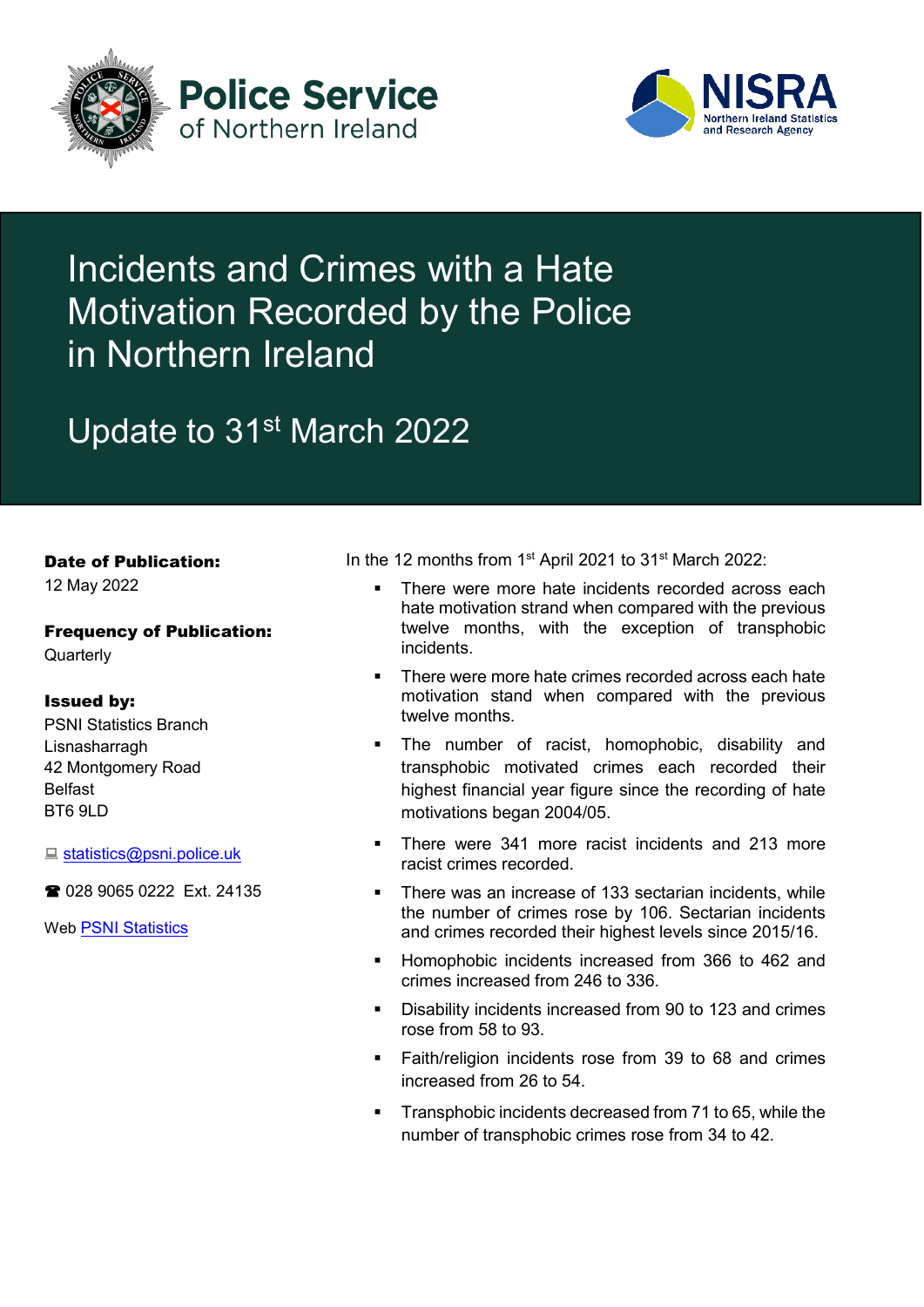



# Incidents and Crimes with a Hate Motivation Recorded by the Police in Northern Ireland

# Update to 31<sup>st</sup> March 2022

## Date of Publication:

12 May 2022

## Frequency of Publication: **Quarterly**

# Issued by:

PSNI Statistics Branch Lisnasharragh 42 Montgomery Road Belfast BT6 9LD

■ [statistics@psni.police.uk](mailto:statistics@psni.police.uk)

2 028 9065 0222 Ext. 24135

Web [PSNI Statistics](https://www.psni.police.uk/inside-psni/Statistics/)

In the 12 months from 1<sup>st</sup> April 2021 to 31<sup>st</sup> March 2022:

- There were more hate incidents recorded across each hate motivation strand when compared with the previous twelve months, with the exception of transphobic incidents.
- There were more hate crimes recorded across each hate motivation stand when compared with the previous twelve months.
- **The number of racist, homophobic, disability and** transphobic motivated crimes each recorded their highest financial year figure since the recording of hate motivations began 2004/05.
- There were 341 more racist incidents and 213 more racist crimes recorded.
- There was an increase of 133 sectarian incidents, while the number of crimes rose by 106. Sectarian incidents and crimes recorded their highest levels since 2015/16.
- Homophobic incidents increased from 366 to 462 and crimes increased from 246 to 336.
- Disability incidents increased from 90 to 123 and crimes rose from 58 to 93.
- **Faith/religion incidents rose from 39 to 68 and crimes** increased from 26 to 54.
- **Transphobic incidents decreased from 71 to 65, while the** number of transphobic crimes rose from 34 to 42.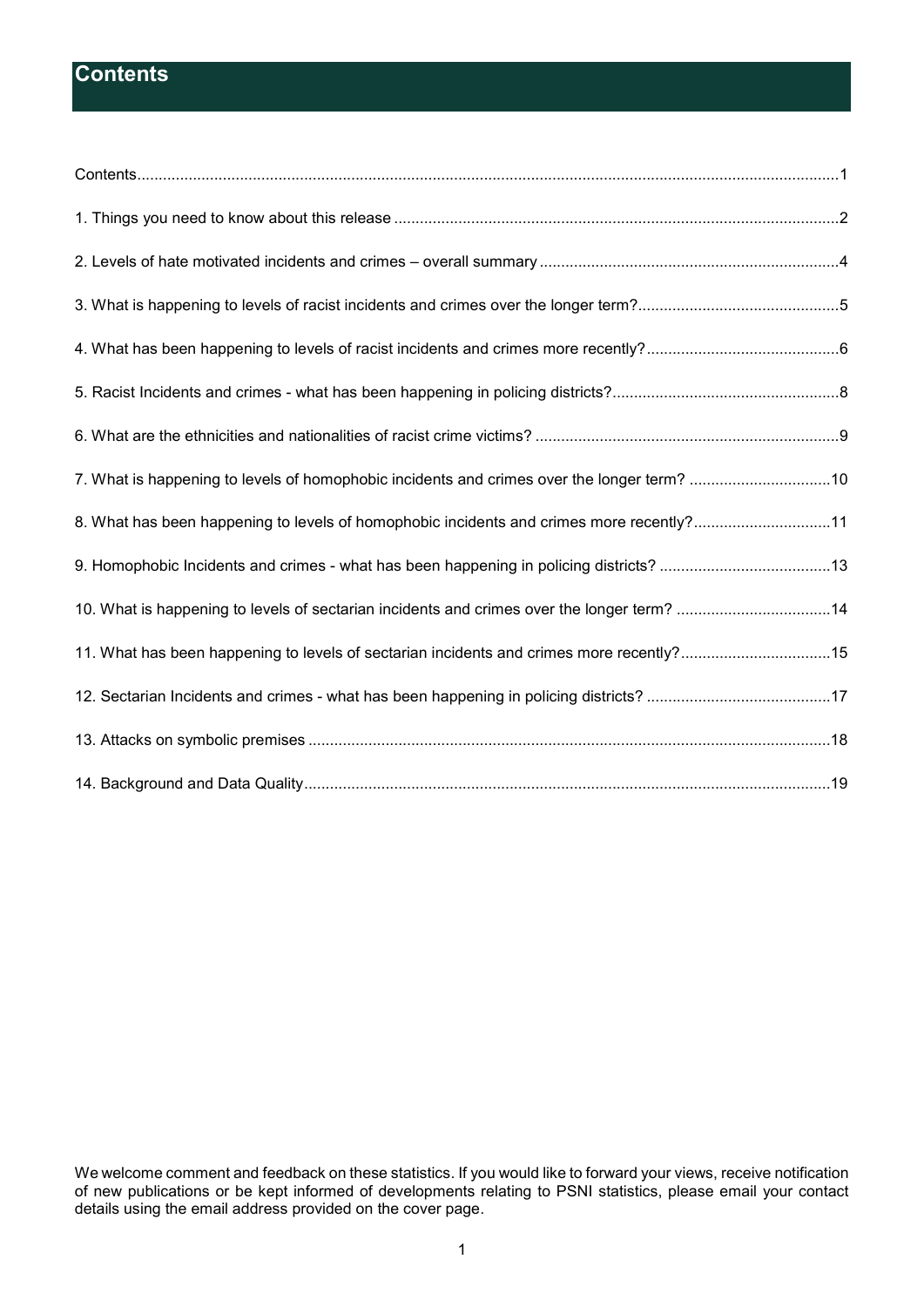# <span id="page-1-0"></span>**Contents**

| 7. What is happening to levels of homophobic incidents and crimes over the longer term? 10 |  |
|--------------------------------------------------------------------------------------------|--|
| 8. What has been happening to levels of homophobic incidents and crimes more recently?11   |  |
| 9. Homophobic Incidents and crimes - what has been happening in policing districts? 13     |  |
| 10. What is happening to levels of sectarian incidents and crimes over the longer term? 14 |  |
| 15. What has been happening to levels of sectarian incidents and crimes more recently?15   |  |
|                                                                                            |  |
|                                                                                            |  |
|                                                                                            |  |

We welcome comment and feedback on these statistics. If you would like to forward your views, receive notification of new publications or be kept informed of developments relating to PSNI statistics, please email your contact details using the email address provided on the cover page.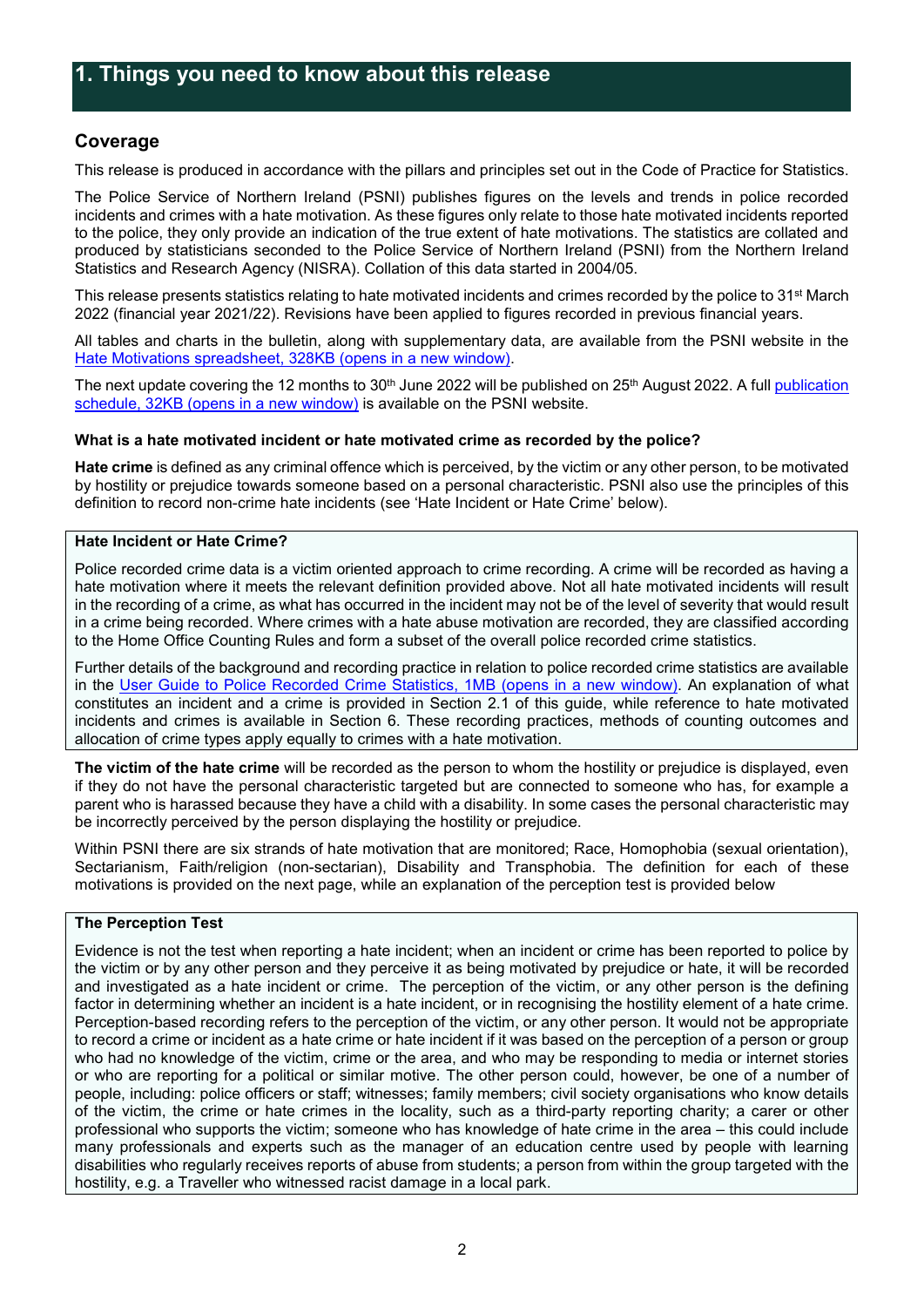# <span id="page-2-0"></span>**Coverage**

This release is produced in accordance with the pillars and principles set out in the Code of Practice for Statistics.

The Police Service of Northern Ireland (PSNI) publishes figures on the levels and trends in police recorded incidents and crimes with a hate motivation. As these figures only relate to those hate motivated incidents reported to the police, they only provide an indication of the true extent of hate motivations. The statistics are collated and produced by statisticians seconded to the Police Service of Northern Ireland (PSNI) from the Northern Ireland Statistics and Research Agency (NISRA). Collation of this data started in 2004/05.

This release presents statistics relating to hate motivated incidents and crimes recorded by the police to 31<sup>st</sup> March 2022 (financial year 2021/22). Revisions have been applied to figures recorded in previous financial years.

All tables and charts in the bulletin, along with supplementary data, are available from the PSNI website in the Hate Motivations [spreadsheet, 328KB \(opens in a new window\).](https://www.psni.police.uk/globalassets/inside-the-psni/our-statistics/hate-motivation-statistics/2021-22/q4/hate-motivations-tables-mar-_22.xlsx)

The next update covering the 12 months to 30<sup>th</sup> June 2022 will be published on 25<sup>th</sup> August 2022. A full publication [schedule, 32KB \(opens in a new window\)](https://www.psni.police.uk/globalassets/inside-the-psni/our-statistics/official-statistics/psni-statistics-branch-publication-schedule.xlsx) is available on the PSNI website.

#### **What is a hate motivated incident or hate motivated crime as recorded by the police?**

**Hate crime** is defined as any criminal offence which is perceived, by the victim or any other person, to be motivated by hostility or prejudice towards someone based on a personal characteristic. PSNI also use the principles of this definition to record non-crime hate incidents (see 'Hate Incident or Hate Crime' below).

#### **Hate Incident or Hate Crime?**

Police recorded crime data is a victim oriented approach to crime recording. A crime will be recorded as having a hate motivation where it meets the relevant definition provided above. Not all hate motivated incidents will result in the recording of a crime, as what has occurred in the incident may not be of the level of severity that would result in a crime being recorded. Where crimes with a hate abuse motivation are recorded, they are classified according to the Home Office Counting Rules and form a subset of the overall police recorded crime statistics.

Further details of the background and recording practice in relation to police recorded crime statistics are available in the [User Guide to Police Recorded Crime Statistics, 1MB \(opens in a new window\)](https://www.psni.police.uk/globalassets/inside-the-psni/our-statistics/police-recorded-crime-statistics/documents/crime-user-guide.pdf). An explanation of what constitutes an incident and a crime is provided in Section 2.1 of this guide, while reference to hate motivated incidents and crimes is available in Section 6. These recording practices, methods of counting outcomes and allocation of crime types apply equally to crimes with a hate motivation.

**The victim of the hate crime** will be recorded as the person to whom the hostility or prejudice is displayed, even if they do not have the personal characteristic targeted but are connected to someone who has, for example a parent who is harassed because they have a child with a disability. In some cases the personal characteristic may be incorrectly perceived by the person displaying the hostility or prejudice.

Within PSNI there are six strands of hate motivation that are monitored; Race, Homophobia (sexual orientation), Sectarianism, Faith/religion (non-sectarian), Disability and Transphobia. The definition for each of these motivations is provided on the next page, while an explanation of the perception test is provided below

#### **The Perception Test**

Evidence is not the test when reporting a hate incident; when an incident or crime has been reported to police by the victim or by any other person and they perceive it as being motivated by prejudice or hate, it will be recorded and investigated as a hate incident or crime. The perception of the victim, or any other person is the defining factor in determining whether an incident is a hate incident, or in recognising the hostility element of a hate crime. Perception-based recording refers to the perception of the victim, or any other person. It would not be appropriate to record a crime or incident as a hate crime or hate incident if it was based on the perception of a person or group who had no knowledge of the victim, crime or the area, and who may be responding to media or internet stories or who are reporting for a political or similar motive. The other person could, however, be one of a number of people, including: police officers or staff; witnesses; family members; civil society organisations who know details of the victim, the crime or hate crimes in the locality, such as a third-party reporting charity; a carer or other professional who supports the victim; someone who has knowledge of hate crime in the area – this could include many professionals and experts such as the manager of an education centre used by people with learning disabilities who regularly receives reports of abuse from students; a person from within the group targeted with the hostility, e.g. a Traveller who witnessed racist damage in a local park.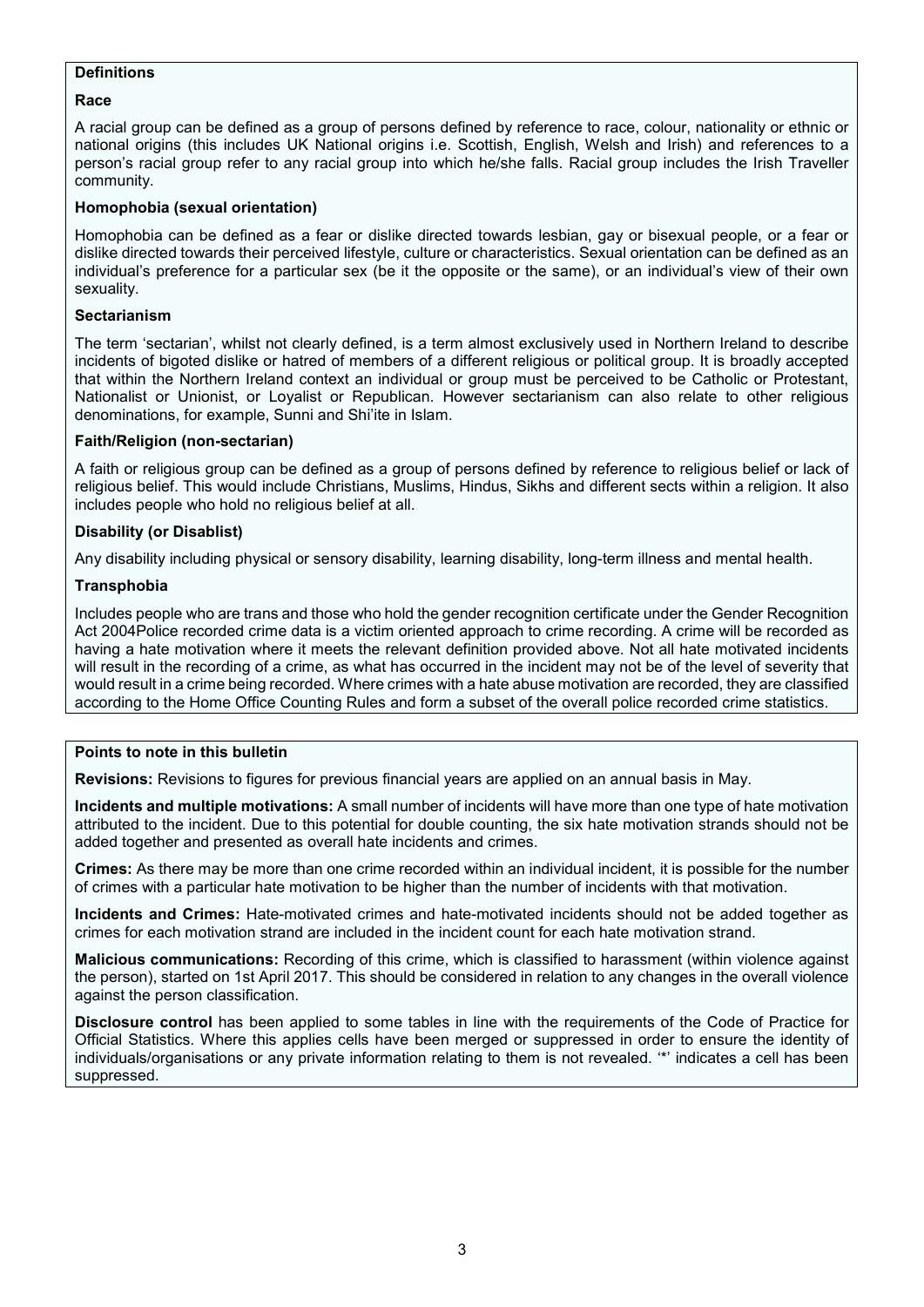## **Definitions**

#### **Race**

A racial group can be defined as a group of persons defined by reference to race, colour, nationality or ethnic or national origins (this includes UK National origins i.e. Scottish, English, Welsh and Irish) and references to a person's racial group refer to any racial group into which he/she falls. Racial group includes the Irish Traveller community.

#### **Homophobia (sexual orientation)**

Homophobia can be defined as a fear or dislike directed towards lesbian, gay or bisexual people, or a fear or dislike directed towards their perceived lifestyle, culture or characteristics. Sexual orientation can be defined as an individual's preference for a particular sex (be it the opposite or the same), or an individual's view of their own sexuality.

#### **Sectarianism**

The term 'sectarian', whilst not clearly defined, is a term almost exclusively used in Northern Ireland to describe incidents of bigoted dislike or hatred of members of a different religious or political group. It is broadly accepted that within the Northern Ireland context an individual or group must be perceived to be Catholic or Protestant, Nationalist or Unionist, or Loyalist or Republican. However sectarianism can also relate to other religious denominations, for example, Sunni and Shi'ite in Islam.

#### **Faith/Religion (non-sectarian)**

A faith or religious group can be defined as a group of persons defined by reference to religious belief or lack of religious belief. This would include Christians, Muslims, Hindus, Sikhs and different sects within a religion. It also includes people who hold no religious belief at all.

## **Disability (or Disablist)**

Any disability including physical or sensory disability, learning disability, long-term illness and mental health.

#### **Transphobia**

Includes people who are trans and those who hold the gender recognition certificate under the Gender Recognition Act 2004Police recorded crime data is a victim oriented approach to crime recording. A crime will be recorded as having a hate motivation where it meets the relevant definition provided above. Not all hate motivated incidents will result in the recording of a crime, as what has occurred in the incident may not be of the level of severity that would result in a crime being recorded. Where crimes with a hate abuse motivation are recorded, they are classified according to the Home Office Counting Rules and form a subset of the overall police recorded crime statistics.

#### **Points to note in this bulletin**

**Revisions:** Revisions to figures for previous financial years are applied on an annual basis in May.

**Incidents and multiple motivations:** A small number of incidents will have more than one type of hate motivation attributed to the incident. Due to this potential for double counting, the six hate motivation strands should not be added together and presented as overall hate incidents and crimes.

**Crimes:** As there may be more than one crime recorded within an individual incident, it is possible for the number of crimes with a particular hate motivation to be higher than the number of incidents with that motivation.

**Incidents and Crimes:** Hate-motivated crimes and hate-motivated incidents should not be added together as crimes for each motivation strand are included in the incident count for each hate motivation strand.

**Malicious communications:** Recording of this crime, which is classified to harassment (within violence against the person), started on 1st April 2017. This should be considered in relation to any changes in the overall violence against the person classification.

**Disclosure control** has been applied to some tables in line with the requirements of the Code of Practice for Official Statistics. Where this applies cells have been merged or suppressed in order to ensure the identity of individuals/organisations or any private information relating to them is not revealed. '\*' indicates a cell has been suppressed.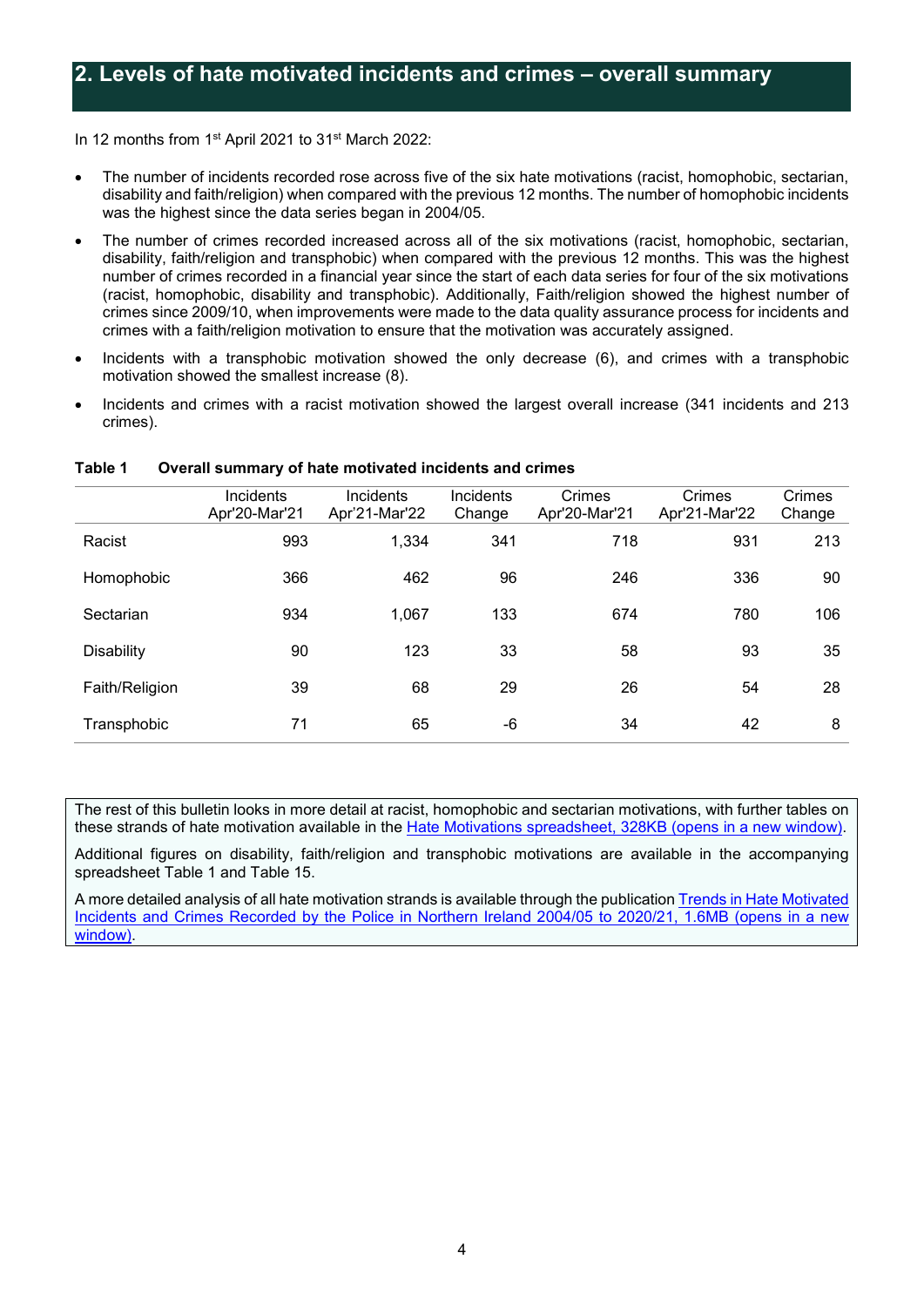<span id="page-4-0"></span>In 12 months from 1st April 2021 to 31st March 2022:

- The number of incidents recorded rose across five of the six hate motivations (racist, homophobic, sectarian, disability and faith/religion) when compared with the previous 12 months. The number of homophobic incidents was the highest since the data series began in 2004/05.
- The number of crimes recorded increased across all of the six motivations (racist, homophobic, sectarian, disability, faith/religion and transphobic) when compared with the previous 12 months. This was the highest number of crimes recorded in a financial year since the start of each data series for four of the six motivations (racist, homophobic, disability and transphobic). Additionally, Faith/religion showed the highest number of crimes since 2009/10, when improvements were made to the data quality assurance process for incidents and crimes with a faith/religion motivation to ensure that the motivation was accurately assigned.
- Incidents with a transphobic motivation showed the only decrease (6), and crimes with a transphobic motivation showed the smallest increase (8).
- Incidents and crimes with a racist motivation showed the largest overall increase (341 incidents and 213 crimes).

|                   | Incidents<br>Apr'20-Mar'21 | Incidents<br>Apr'21-Mar'22 | Incidents<br>Change | Crimes<br>Apr'20-Mar'21 | Crimes<br>Apr'21-Mar'22 | Crimes<br>Change |
|-------------------|----------------------------|----------------------------|---------------------|-------------------------|-------------------------|------------------|
| Racist            | 993                        | 1,334                      | 341                 | 718                     | 931                     | 213              |
| Homophobic        | 366                        | 462                        | 96                  | 246                     | 336                     | 90               |
| Sectarian         | 934                        | 1,067                      | 133                 | 674                     | 780                     | 106              |
| <b>Disability</b> | 90                         | 123                        | 33                  | 58                      | 93                      | 35               |
| Faith/Religion    | 39                         | 68                         | 29                  | 26                      | 54                      | 28               |
| Transphobic       | 71                         | 65                         | -6                  | 34                      | 42                      | 8                |

#### **Table 1 Overall summary of hate motivated incidents and crimes**

The rest of this bulletin looks in more detail at racist, homophobic and sectarian motivations, with further tables on these strands of hate motivation available in the Hate Motivations [spreadsheet, 328KB \(opens in a new window\).](https://www.psni.police.uk/globalassets/inside-the-psni/our-statistics/hate-motivation-statistics/2021-22/q4/hate-motivations-tables-mar-_22.xlsx)

Additional figures on disability, faith/religion and transphobic motivations are available in the accompanying spreadsheet Table 1 and Table 15.

A more detailed analysis of all hate motivation strands is available through the publicatio[n Trends in Hate Motivated](https://www.psni.police.uk/globalassets/inside-the-psni/our-statistics/hate-motivation-statistics/2020-21/hate-motivated-incidents-and-crimes-in-northern-ireland-2004-05-to-2020-21.pdf)  [Incidents and Crimes Recorded by the Police in Northern Ireland 2004/05 to 2020/21, 1.6MB \(opens in a new](https://www.psni.police.uk/globalassets/inside-the-psni/our-statistics/hate-motivation-statistics/2020-21/hate-motivated-incidents-and-crimes-in-northern-ireland-2004-05-to-2020-21.pdf)  [window\)](https://www.psni.police.uk/globalassets/inside-the-psni/our-statistics/hate-motivation-statistics/2020-21/hate-motivated-incidents-and-crimes-in-northern-ireland-2004-05-to-2020-21.pdf).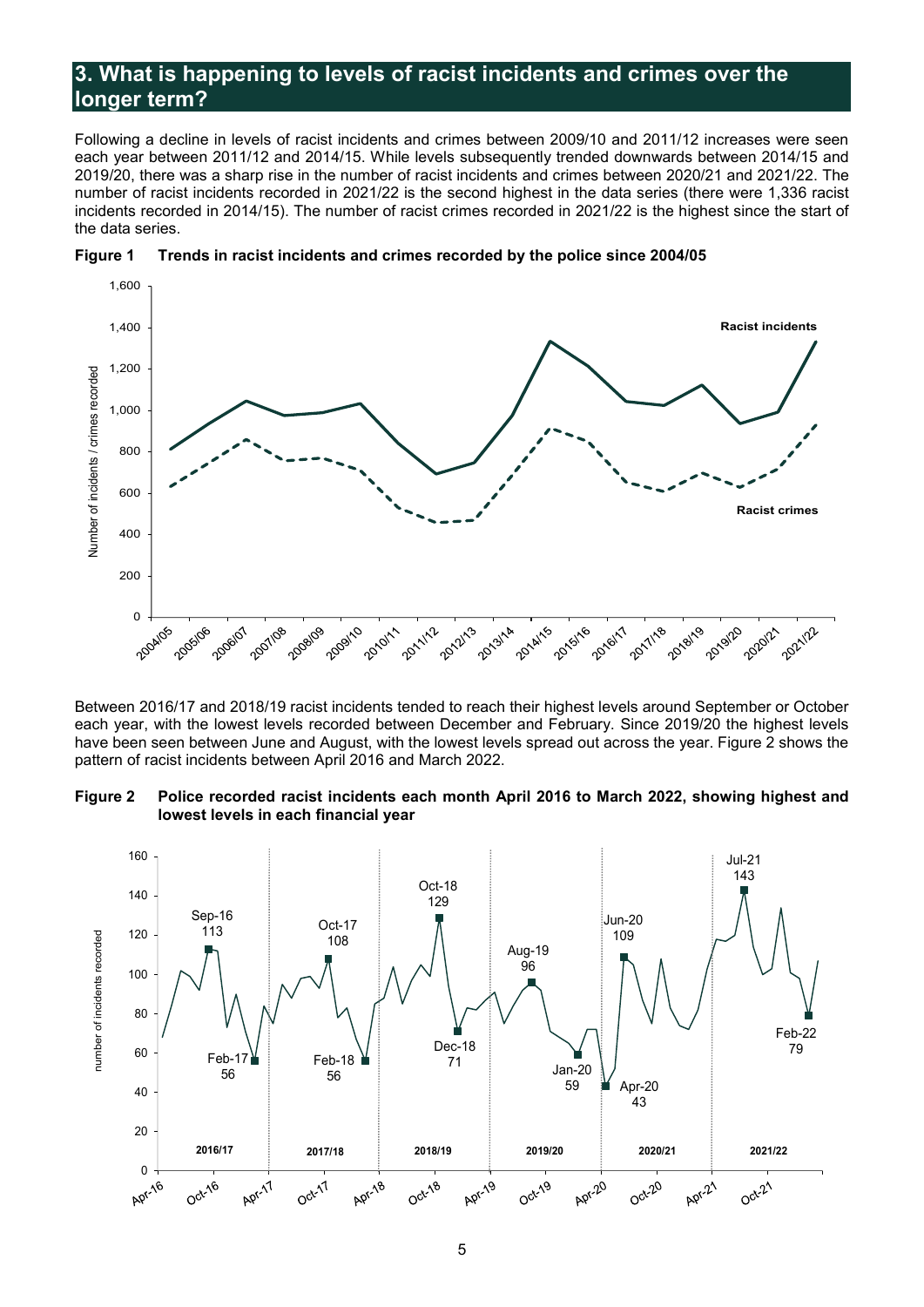# <span id="page-5-0"></span>**3. What is happening to levels of racist incidents and crimes over the longer term?**

Following a decline in levels of racist incidents and crimes between 2009/10 and 2011/12 increases were seen each year between 2011/12 and 2014/15. While levels subsequently trended downwards between 2014/15 and 2019/20, there was a sharp rise in the number of racist incidents and crimes between 2020/21 and 2021/22. The number of racist incidents recorded in 2021/22 is the second highest in the data series (there were 1,336 racist incidents recorded in 2014/15). The number of racist crimes recorded in 2021/22 is the highest since the start of the data series.





Between 2016/17 and 2018/19 racist incidents tended to reach their highest levels around September or October each year, with the lowest levels recorded between December and February. Since 2019/20 the highest levels have been seen between June and August, with the lowest levels spread out across the year. Figure 2 shows the pattern of racist incidents between April 2016 and March 2022.

#### **Figure 2 Police recorded racist incidents each month April 2016 to March 2022, showing highest and lowest levels in each financial year**

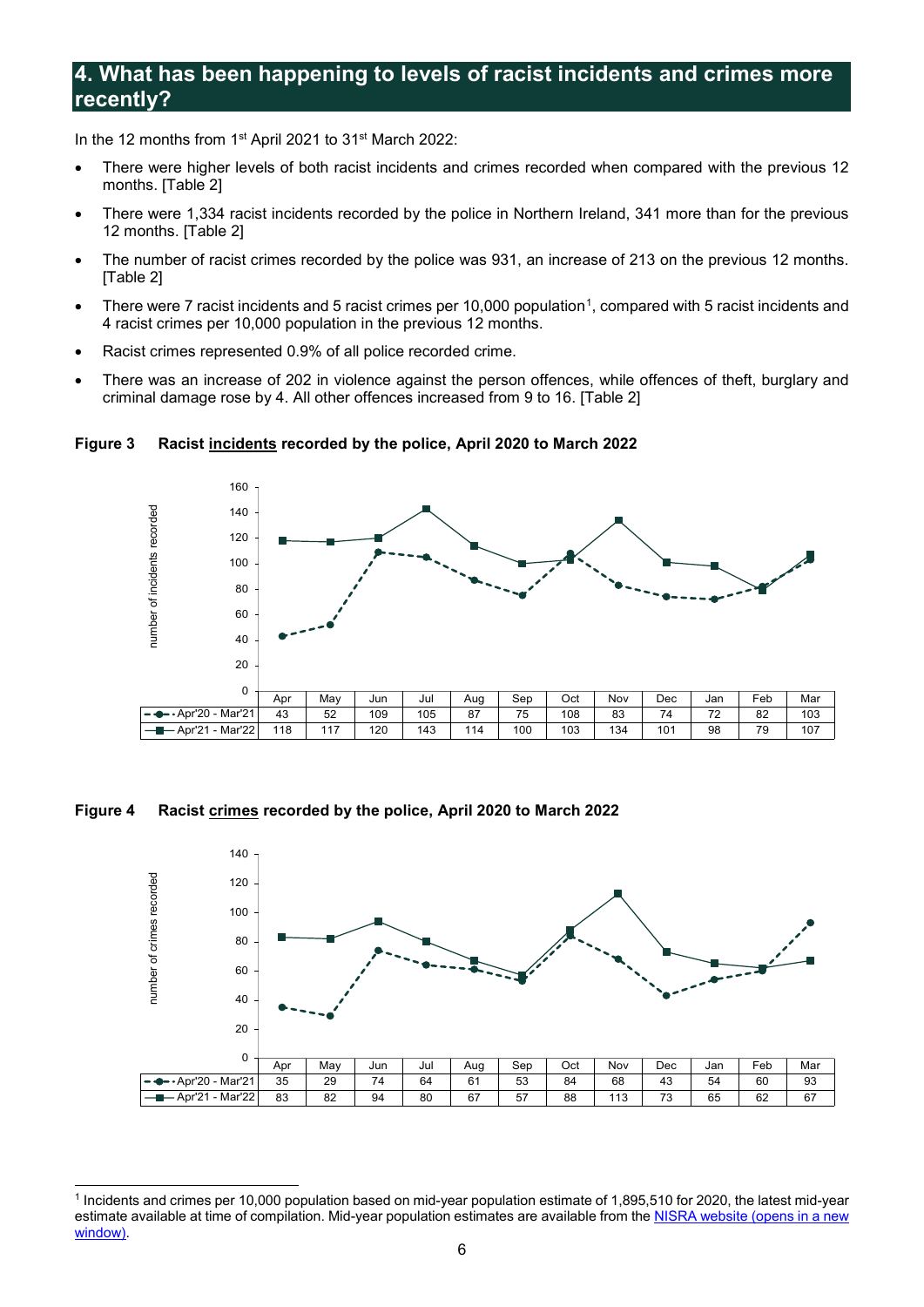# <span id="page-6-0"></span>**4. What has been happening to levels of racist incidents and crimes more recently?**

In the 12 months from 1st April 2021 to 31st March 2022:

- There were higher levels of both racist incidents and crimes recorded when compared with the previous 12 months. [Table 2]
- There were 1,334 racist incidents recorded by the police in Northern Ireland, 341 more than for the previous 12 months. [Table 2]
- The number of racist crimes recorded by the police was 931, an increase of 213 on the previous 12 months. [Table 2]
- There were 7 racist incidents and 5 racist crimes per [1](#page-6-1)0,000 population<sup>1</sup>, compared with 5 racist incidents and 4 racist crimes per 10,000 population in the previous 12 months.
- Racist crimes represented 0.9% of all police recorded crime.
- There was an increase of 202 in violence against the person offences, while offences of theft, burglary and criminal damage rose by 4. All other offences increased from 9 to 16. [Table 2]



**Figure 3 Racist incidents recorded by the police, April 2020 to March 2022** 

**Figure 4 Racist crimes recorded by the police, April 2020 to March 2022** 



<span id="page-6-1"></span><sup>-</sup><sup>1</sup> Incidents and crimes per 10,000 population based on mid-year population estimate of 1,895,510 for 2020, the latest mid-year estimate available at time of compilation. Mid-year population estimates are available from th[e NISRA website \(opens in a new](https://www.nisra.gov.uk/statistics/population/mid-year-population-estimates)  [window\)](https://www.nisra.gov.uk/statistics/population/mid-year-population-estimates).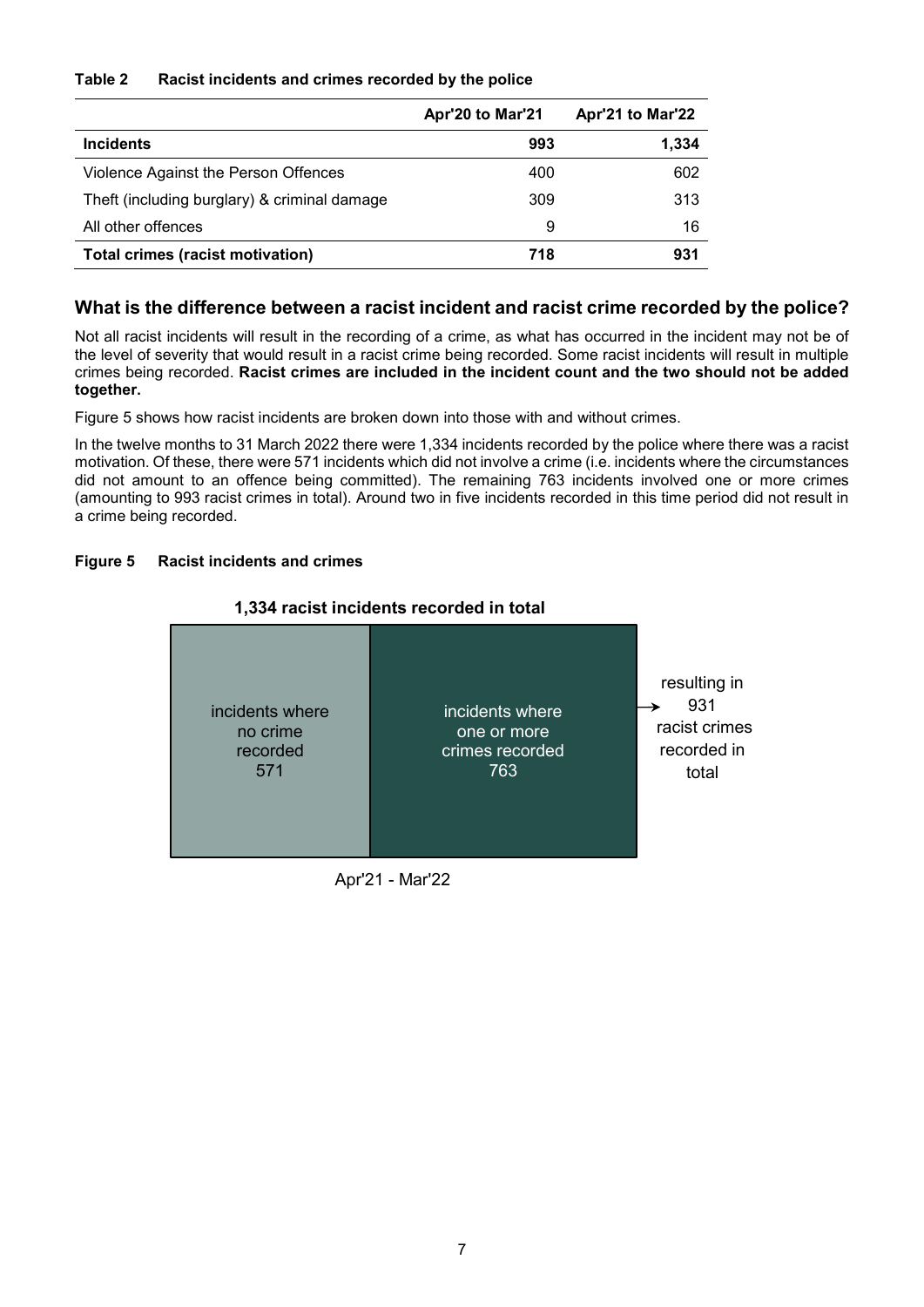#### **Table 2 Racist incidents and crimes recorded by the police**

|                                              | Apr'20 to Mar'21 | Apr'21 to Mar'22 |
|----------------------------------------------|------------------|------------------|
| <b>Incidents</b>                             | 993              | 1,334            |
| Violence Against the Person Offences         | 400              | 602              |
| Theft (including burglary) & criminal damage | 309              | 313              |
| All other offences                           | 9                | 16               |
| <b>Total crimes (racist motivation)</b>      | 718              | 931              |

# **What is the difference between a racist incident and racist crime recorded by the police?**

Not all racist incidents will result in the recording of a crime, as what has occurred in the incident may not be of the level of severity that would result in a racist crime being recorded. Some racist incidents will result in multiple crimes being recorded. **Racist crimes are included in the incident count and the two should not be added together.**

Figure 5 shows how racist incidents are broken down into those with and without crimes.

In the twelve months to 31 March 2022 there were 1,334 incidents recorded by the police where there was a racist motivation. Of these, there were 571 incidents which did not involve a crime (i.e. incidents where the circumstances did not amount to an offence being committed). The remaining 763 incidents involved one or more crimes (amounting to 993 racist crimes in total). Around two in five incidents recorded in this time period did not result in a crime being recorded.

#### **Figure 5 Racist incidents and crimes**



#### **1,334 racist incidents recorded in total**

Apr'21 - Mar'22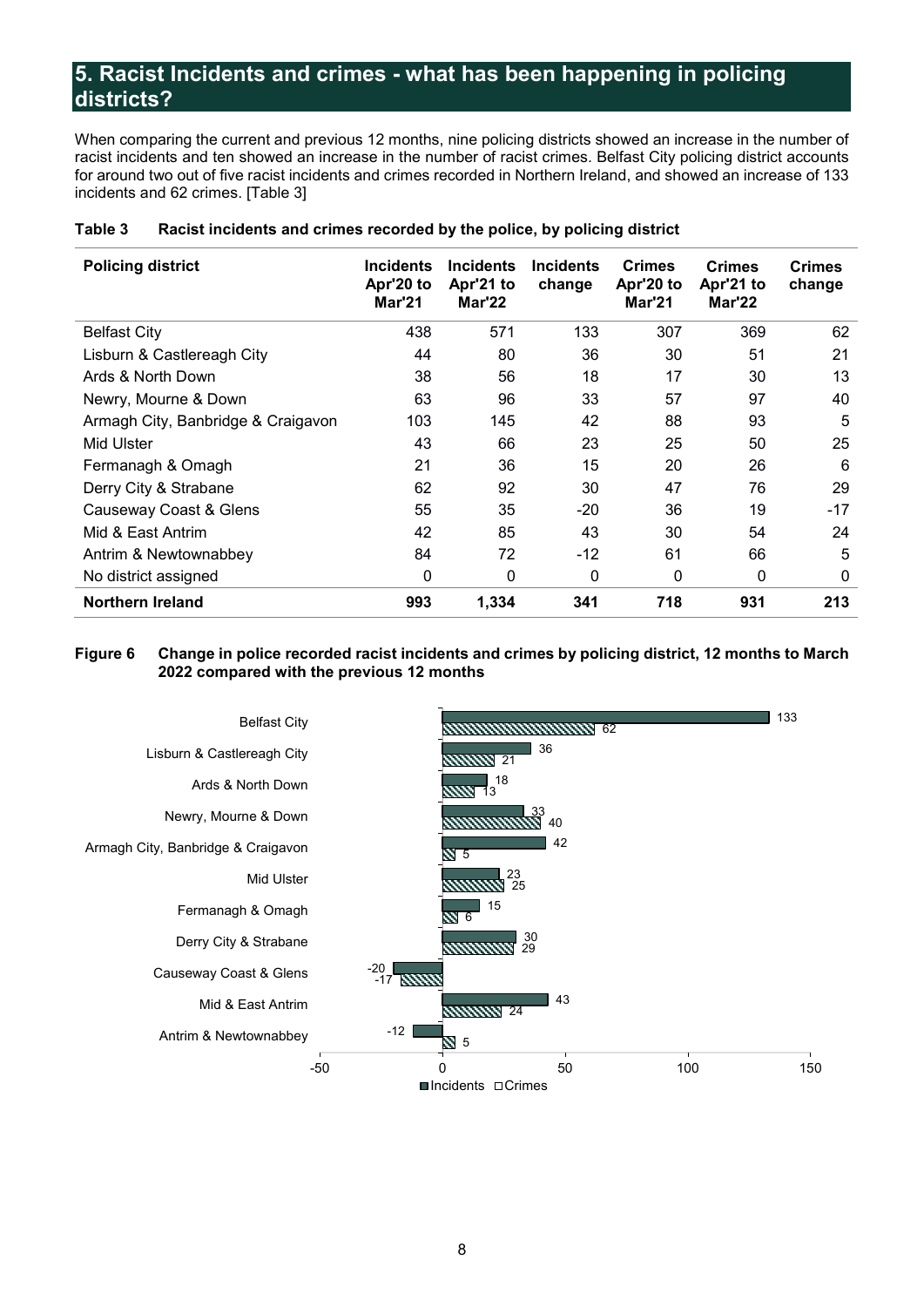# <span id="page-8-0"></span>**5. Racist Incidents and crimes - what has been happening in policing districts?**

When comparing the current and previous 12 months, nine policing districts showed an increase in the number of racist incidents and ten showed an increase in the number of racist crimes. Belfast City policing district accounts for around two out of five racist incidents and crimes recorded in Northern Ireland, and showed an increase of 133 incidents and 62 crimes. [Table 3]

| <b>Policing district</b>           | <b>Incidents</b><br>Apr'20 to<br>Mar'21 | <b>Incidents</b><br>Apr'21 to<br>Mar'22 | <b>Incidents</b><br>change | <b>Crimes</b><br>Apr'20 to<br><b>Mar'21</b> | <b>Crimes</b><br>Apr'21 to<br>Mar'22 | <b>Crimes</b><br>change |
|------------------------------------|-----------------------------------------|-----------------------------------------|----------------------------|---------------------------------------------|--------------------------------------|-------------------------|
| <b>Belfast City</b>                | 438                                     | 571                                     | 133                        | 307                                         | 369                                  | 62                      |
| Lisburn & Castlereagh City         | 44                                      | 80                                      | 36                         | 30                                          | 51                                   | 21                      |
| Ards & North Down                  | 38                                      | 56                                      | 18                         | 17                                          | 30                                   | 13                      |
| Newry, Mourne & Down               | 63                                      | 96                                      | 33                         | 57                                          | 97                                   | 40                      |
| Armagh City, Banbridge & Craigavon | 103                                     | 145                                     | 42                         | 88                                          | 93                                   | 5                       |
| Mid Ulster                         | 43                                      | 66                                      | 23                         | 25                                          | 50                                   | 25                      |
| Fermanagh & Omagh                  | 21                                      | 36                                      | 15                         | 20                                          | 26                                   | 6                       |
| Derry City & Strabane              | 62                                      | 92                                      | 30                         | 47                                          | 76                                   | 29                      |
| Causeway Coast & Glens             | 55                                      | 35                                      | $-20$                      | 36                                          | 19                                   | $-17$                   |
| Mid & East Antrim                  | 42                                      | 85                                      | 43                         | 30                                          | 54                                   | 24                      |
| Antrim & Newtownabbey              | 84                                      | 72                                      | $-12$                      | 61                                          | 66                                   | 5                       |
| No district assigned               | 0                                       | 0                                       | 0                          | 0                                           | 0                                    | 0                       |
| <b>Northern Ireland</b>            | 993                                     | 1,334                                   | 341                        | 718                                         | 931                                  | 213                     |

#### **Table 3 Racist incidents and crimes recorded by the police, by policing district**

#### **Figure 6 Change in police recorded racist incidents and crimes by policing district, 12 months to March 2022 compared with the previous 12 months**

<span id="page-8-1"></span>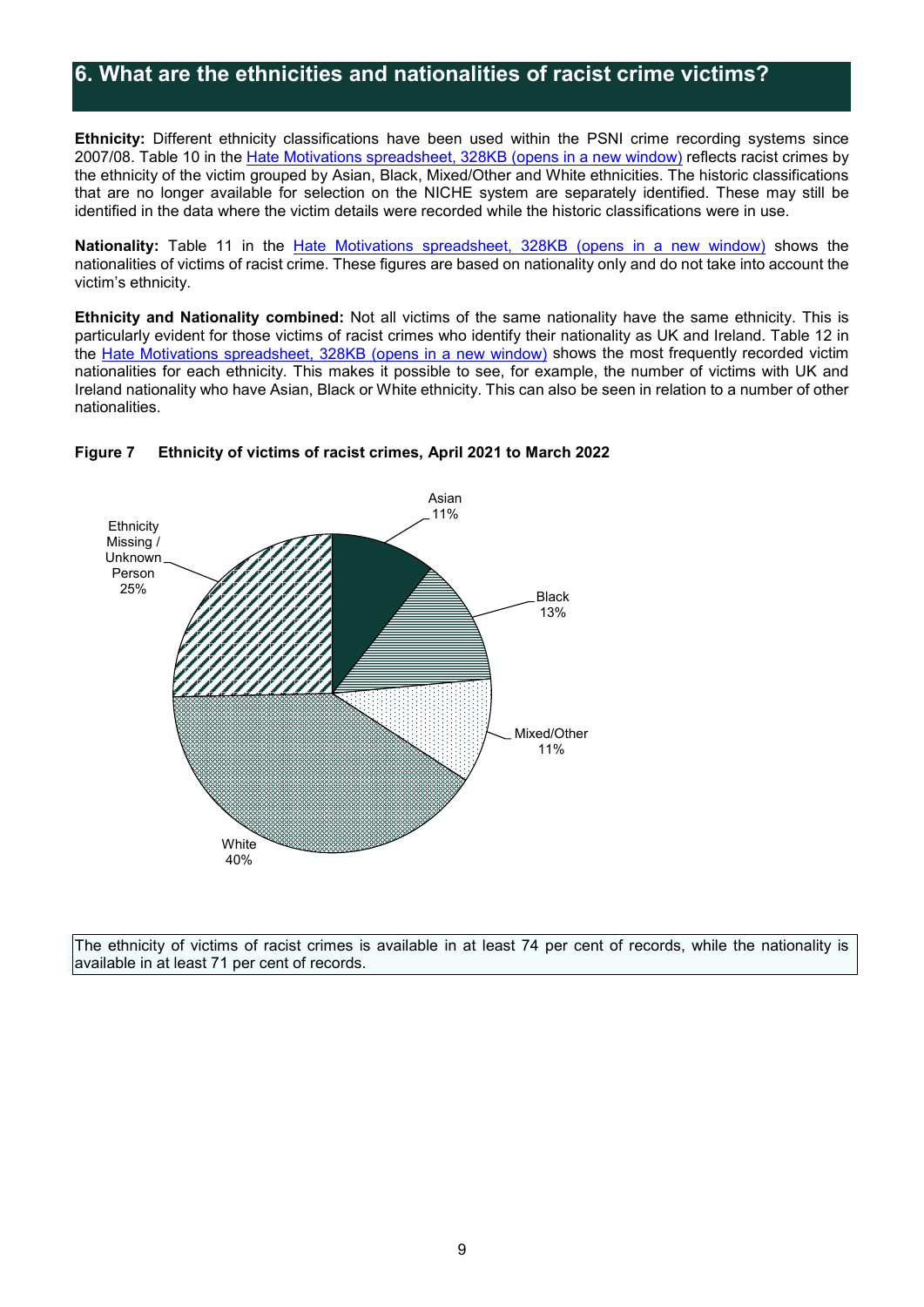# **6. What are the ethnicities and nationalities of racist crime victims?**

**Ethnicity:** Different ethnicity classifications have been used within the PSNI crime recording systems since 2007/08. Table 10 in the Hate Motivations [spreadsheet, 328KB \(opens in a new window\)](https://www.psni.police.uk/globalassets/inside-the-psni/our-statistics/hate-motivation-statistics/2021-22/q4/hate-motivations-tables-mar-_22.xlsx) reflects racist crimes by the ethnicity of the victim grouped by Asian, Black, Mixed/Other and White ethnicities. The historic classifications that are no longer available for selection on the NICHE system are separately identified. These may still be identified in the data where the victim details were recorded while the historic classifications were in use.

Nationality: Table 11 in the **Hate Motivations spreadsheet**, 328KB (opens in a new window) shows the nationalities of victims of racist crime. These figures are based on nationality only and do not take into account the victim's ethnicity.

**Ethnicity and Nationality combined:** Not all victims of the same nationality have the same ethnicity. This is particularly evident for those victims of racist crimes who identify their nationality as UK and Ireland. Table 12 in the Hate Motivations [spreadsheet, 328KB \(opens in a new window\)](https://www.psni.police.uk/globalassets/inside-the-psni/our-statistics/hate-motivation-statistics/2021-22/q4/hate-motivations-tables-mar-_22.xlsx) shows the most frequently recorded victim nationalities for each ethnicity. This makes it possible to see, for example, the number of victims with UK and Ireland nationality who have Asian, Black or White ethnicity. This can also be seen in relation to a number of other nationalities.



#### **Figure 7 Ethnicity of victims of racist crimes, April 2021 to March 2022**

The ethnicity of victims of racist crimes is available in at least 74 per cent of records, while the nationality is available in at least 71 per cent of records.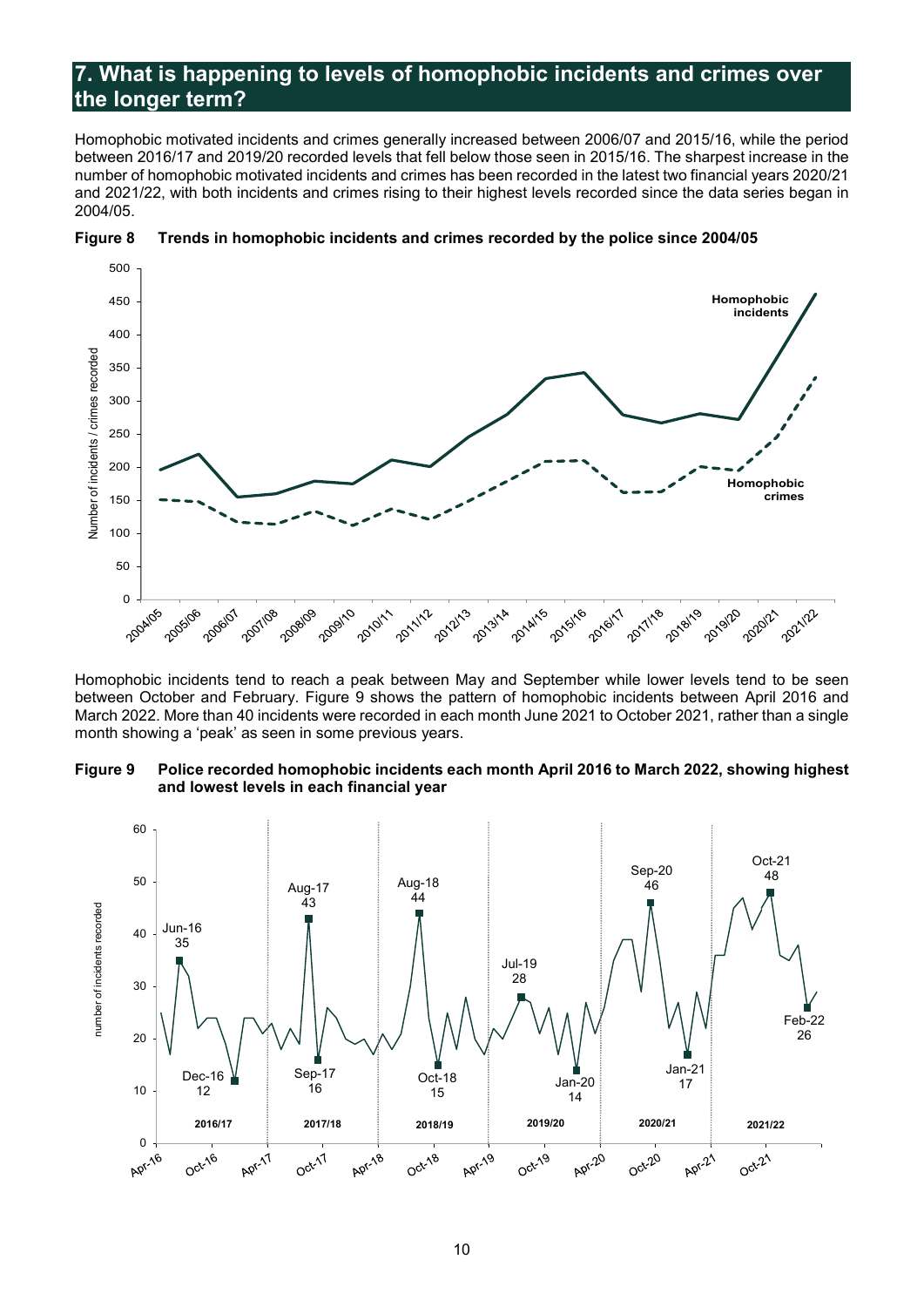# <span id="page-10-0"></span>**7. What is happening to levels of homophobic incidents and crimes over the longer term?**

Homophobic motivated incidents and crimes generally increased between 2006/07 and 2015/16, while the period between 2016/17 and 2019/20 recorded levels that fell below those seen in 2015/16. The sharpest increase in the number of homophobic motivated incidents and crimes has been recorded in the latest two financial years 2020/21 and 2021/22, with both incidents and crimes rising to their highest levels recorded since the data series began in 2004/05.





Homophobic incidents tend to reach a peak between May and September while lower levels tend to be seen between October and February. Figure 9 shows the pattern of homophobic incidents between April 2016 and March 2022. More than 40 incidents were recorded in each month June 2021 to October 2021, rather than a single month showing a 'peak' as seen in some previous years.

#### **Figure 9 Police recorded homophobic incidents each month April 2016 to March 2022, showing highest and lowest levels in each financial year**

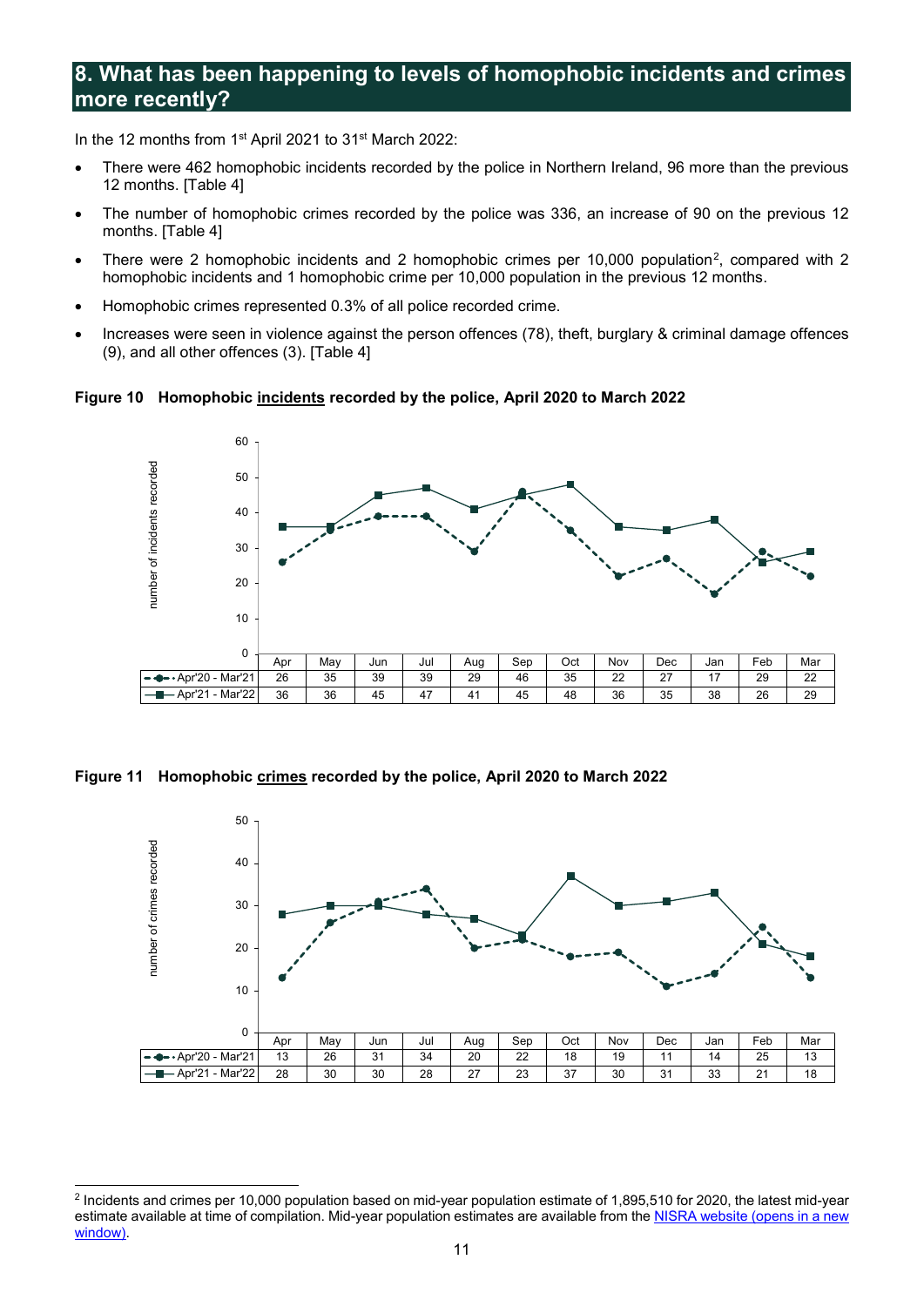# <span id="page-11-0"></span>**8. What has been happening to levels of homophobic incidents and crimes more recently?**

In the 12 months from 1st April 2021 to 31st March 2022:

- There were 462 homophobic incidents recorded by the police in Northern Ireland, 96 more than the previous 12 months. [Table 4]
- The number of homophobic crimes recorded by the police was 336, an increase of 90 on the previous 12 months. [Table 4]
- There were [2](#page-11-1) homophobic incidents and 2 homophobic crimes per 10,000 population<sup>2</sup>, compared with 2 homophobic incidents and 1 homophobic crime per 10,000 population in the previous 12 months.
- Homophobic crimes represented 0.3% of all police recorded crime.
- Increases were seen in violence against the person offences (78), theft, burglary & criminal damage offences (9), and all other offences (3). [Table 4]

**Figure 10 Homophobic incidents recorded by the police, April 2020 to March 2022** 



**Figure 11 Homophobic crimes recorded by the police, April 2020 to March 2022** 



<span id="page-11-1"></span><sup>-</sup><sup>2</sup> Incidents and crimes per 10,000 population based on mid-year population estimate of 1,895,510 for 2020, the latest mid-year estimate available at time of compilation. Mid-year population estimates are available from th[e NISRA website \(opens in a new](https://www.nisra.gov.uk/statistics/population/mid-year-population-estimates)  [window\).](https://www.nisra.gov.uk/statistics/population/mid-year-population-estimates)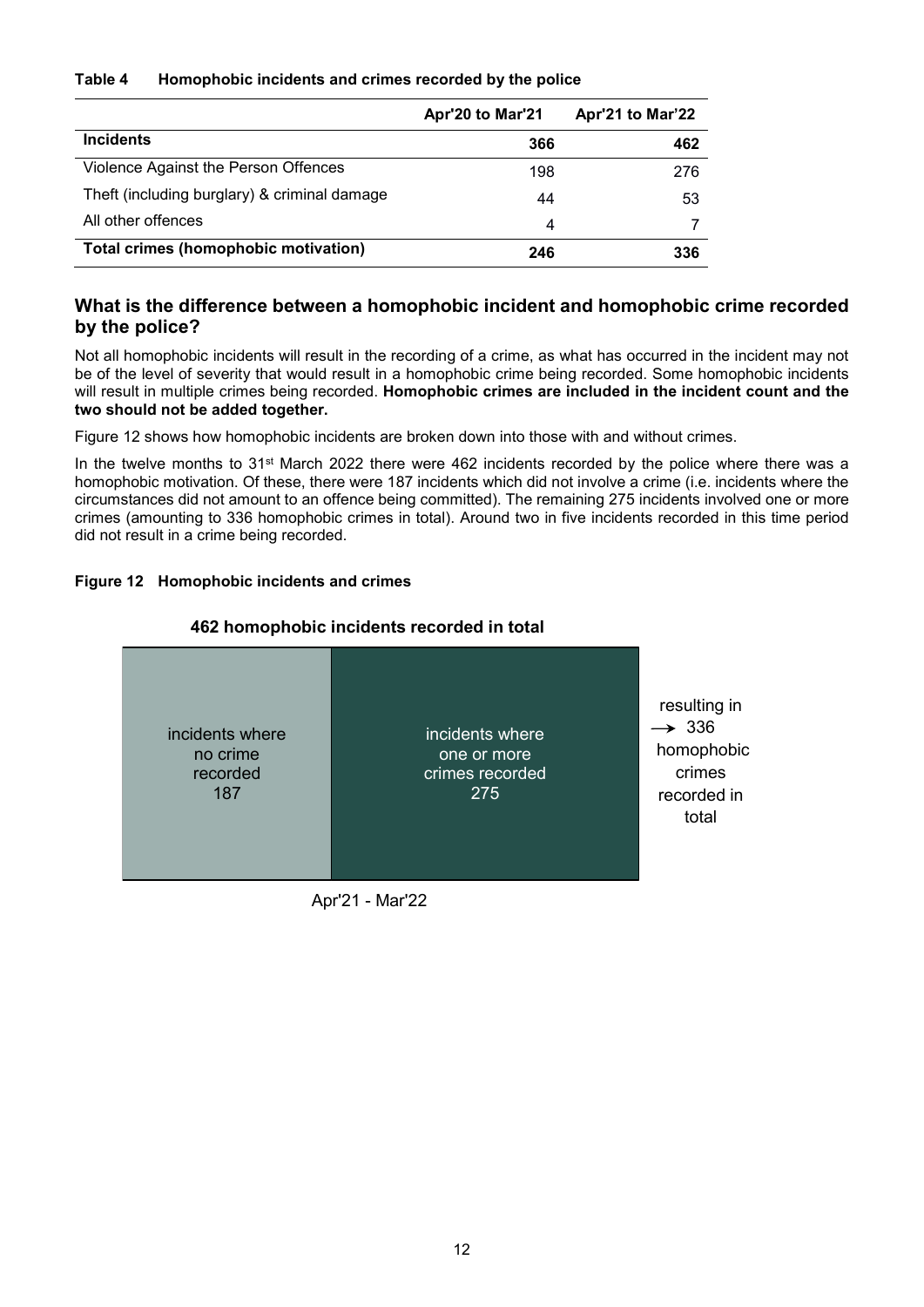#### **Table 4 Homophobic incidents and crimes recorded by the police**

|                                              | Apr'20 to Mar'21 | Apr'21 to Mar'22 |
|----------------------------------------------|------------------|------------------|
| <b>Incidents</b>                             | 366              | 462              |
| Violence Against the Person Offences         | 198              | 276              |
| Theft (including burglary) & criminal damage | 44               | 53               |
| All other offences                           | 4                |                  |
| <b>Total crimes (homophobic motivation)</b>  | 246              | 336              |

# **What is the difference between a homophobic incident and homophobic crime recorded by the police?**

Not all homophobic incidents will result in the recording of a crime, as what has occurred in the incident may not be of the level of severity that would result in a homophobic crime being recorded. Some homophobic incidents will result in multiple crimes being recorded. **Homophobic crimes are included in the incident count and the two should not be added together.**

Figure 12 shows how homophobic incidents are broken down into those with and without crimes.

In the twelve months to 31<sup>st</sup> March 2022 there were 462 incidents recorded by the police where there was a homophobic motivation. Of these, there were 187 incidents which did not involve a crime (i.e. incidents where the circumstances did not amount to an offence being committed). The remaining 275 incidents involved one or more crimes (amounting to 336 homophobic crimes in total). Around two in five incidents recorded in this time period did not result in a crime being recorded.

## **Figure 12 Homophobic incidents and crimes**

## **462 homophobic incidents recorded in total**



Apr'21 - Mar'22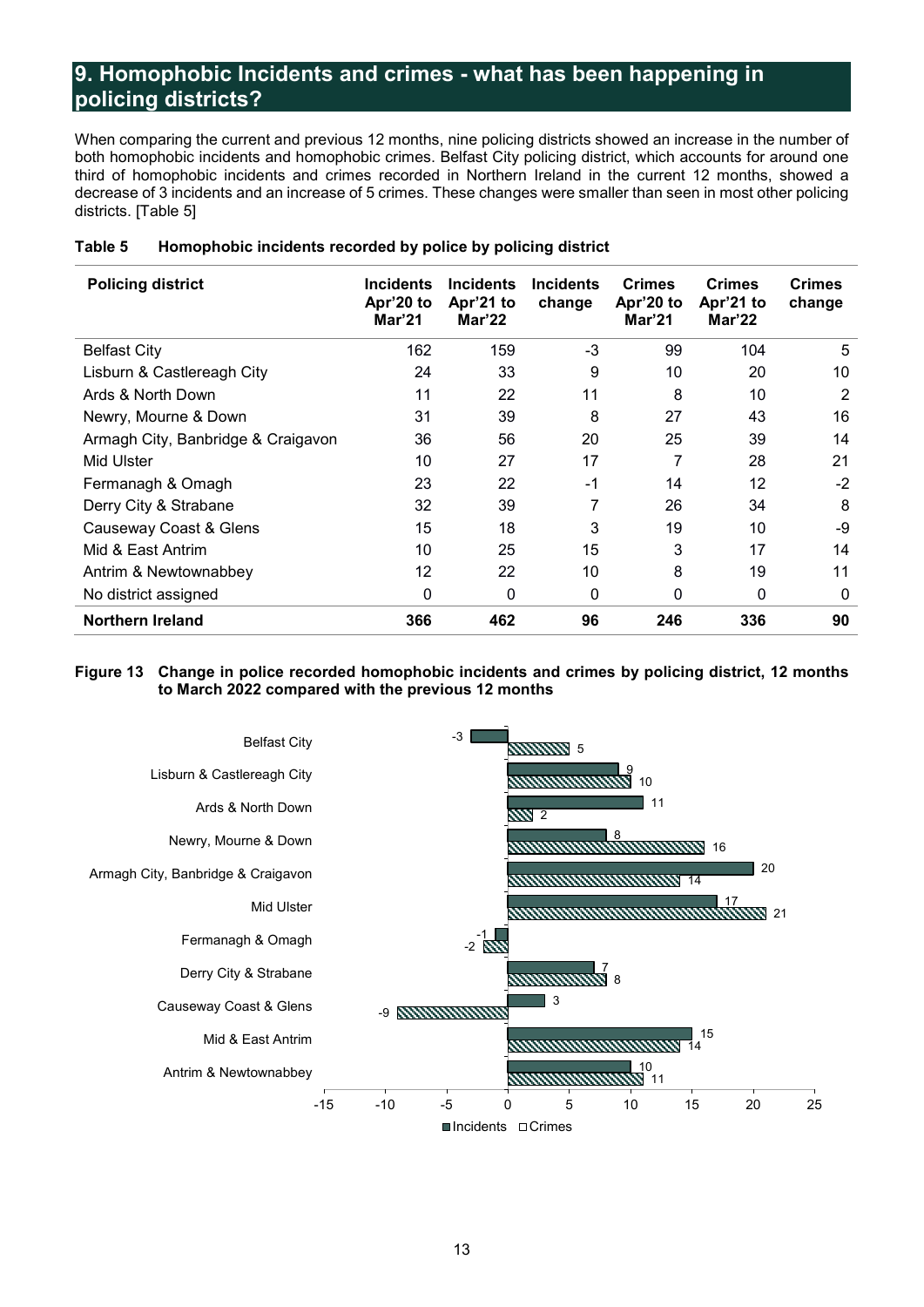# <span id="page-13-0"></span>**9. Homophobic Incidents and crimes - what has been happening in policing districts?**

When comparing the current and previous 12 months, nine policing districts showed an increase in the number of both homophobic incidents and homophobic crimes. Belfast City policing district, which accounts for around one third of homophobic incidents and crimes recorded in Northern Ireland in the current 12 months, showed a decrease of 3 incidents and an increase of 5 crimes. These changes were smaller than seen in most other policing districts. [Table 5]

| <b>Policing district</b>           | <b>Incidents</b><br>Apr'20 to<br>Mar'21 | <b>Incidents</b><br>Apr'21 to<br>Mar'22 | <b>Incidents</b><br>change | <b>Crimes</b><br>Apr'20 to<br>Mar'21 | <b>Crimes</b><br>Apr'21 to<br>Mar'22 | <b>Crimes</b><br>change |
|------------------------------------|-----------------------------------------|-----------------------------------------|----------------------------|--------------------------------------|--------------------------------------|-------------------------|
| <b>Belfast City</b>                | 162                                     | 159                                     | $-3$                       | 99                                   | 104                                  | 5                       |
| Lisburn & Castlereagh City         | 24                                      | 33                                      | 9                          | 10                                   | 20                                   | 10                      |
| Ards & North Down                  | 11                                      | 22                                      | 11                         | 8                                    | 10                                   | 2                       |
| Newry, Mourne & Down               | 31                                      | 39                                      | 8                          | 27                                   | 43                                   | 16                      |
| Armagh City, Banbridge & Craigavon | 36                                      | 56                                      | 20                         | 25                                   | 39                                   | 14                      |
| Mid Ulster                         | 10                                      | 27                                      | 17                         | 7                                    | 28                                   | 21                      |
| Fermanagh & Omagh                  | 23                                      | 22                                      | $-1$                       | 14                                   | 12                                   | $-2$                    |
| Derry City & Strabane              | 32                                      | 39                                      | 7                          | 26                                   | 34                                   | 8                       |
| Causeway Coast & Glens             | 15                                      | 18                                      | 3                          | 19                                   | 10                                   | -9                      |
| Mid & East Antrim                  | 10                                      | 25                                      | 15                         | 3                                    | 17                                   | 14                      |
| Antrim & Newtownabbey              | 12                                      | 22                                      | 10                         | 8                                    | 19                                   | 11                      |
| No district assigned               | 0                                       | 0                                       | 0                          | 0                                    | 0                                    | 0                       |
| <b>Northern Ireland</b>            | 366                                     | 462                                     | 96                         | 246                                  | 336                                  | 90                      |

#### **Table 5 Homophobic incidents recorded by police by policing district**

#### **Figure 13 Change in police recorded homophobic incidents and crimes by policing district, 12 months to March 2022 compared with the previous 12 months**

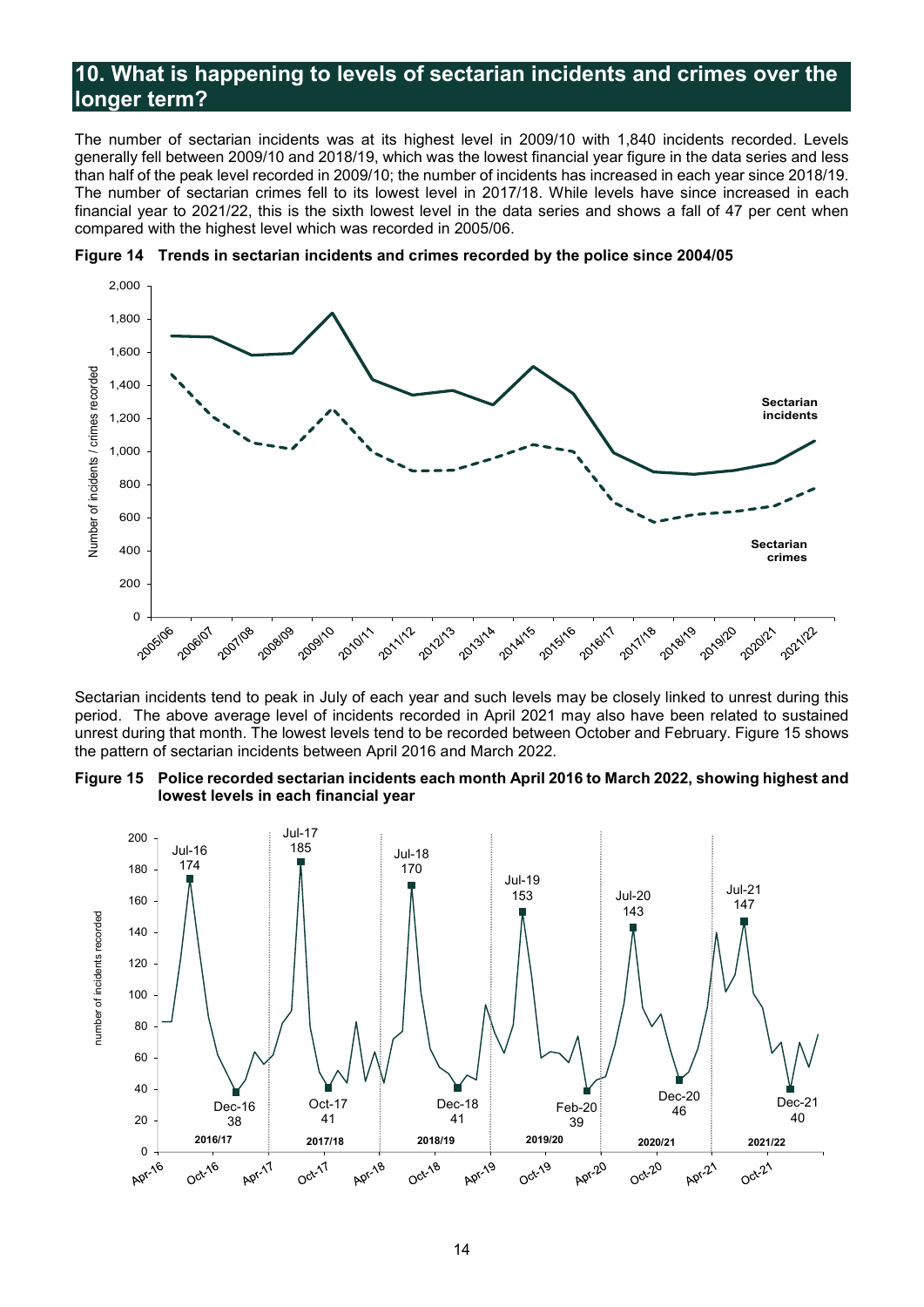# <span id="page-14-0"></span>**10. What is happening to levels of sectarian incidents and crimes over the longer term?**

The number of sectarian incidents was at its highest level in 2009/10 with 1,840 incidents recorded. Levels generally fell between 2009/10 and 2018/19, which was the lowest financial year figure in the data series and less than half of the peak level recorded in 2009/10; the number of incidents has increased in each year since 2018/19. The number of sectarian crimes fell to its lowest level in 2017/18. While levels have since increased in each financial year to 2021/22, this is the sixth lowest level in the data series and shows a fall of 47 per cent when compared with the highest level which was recorded in 2005/06.





Sectarian incidents tend to peak in July of each year and such levels may be closely linked to unrest during this period. The above average level of incidents recorded in April 2021 may also have been related to sustained unrest during that month. The lowest levels tend to be recorded between October and February. Figure 15 shows the pattern of sectarian incidents between April 2016 and March 2022.

**Figure 15 Police recorded sectarian incidents each month April 2016 to March 2022, showing highest and lowest levels in each financial year**

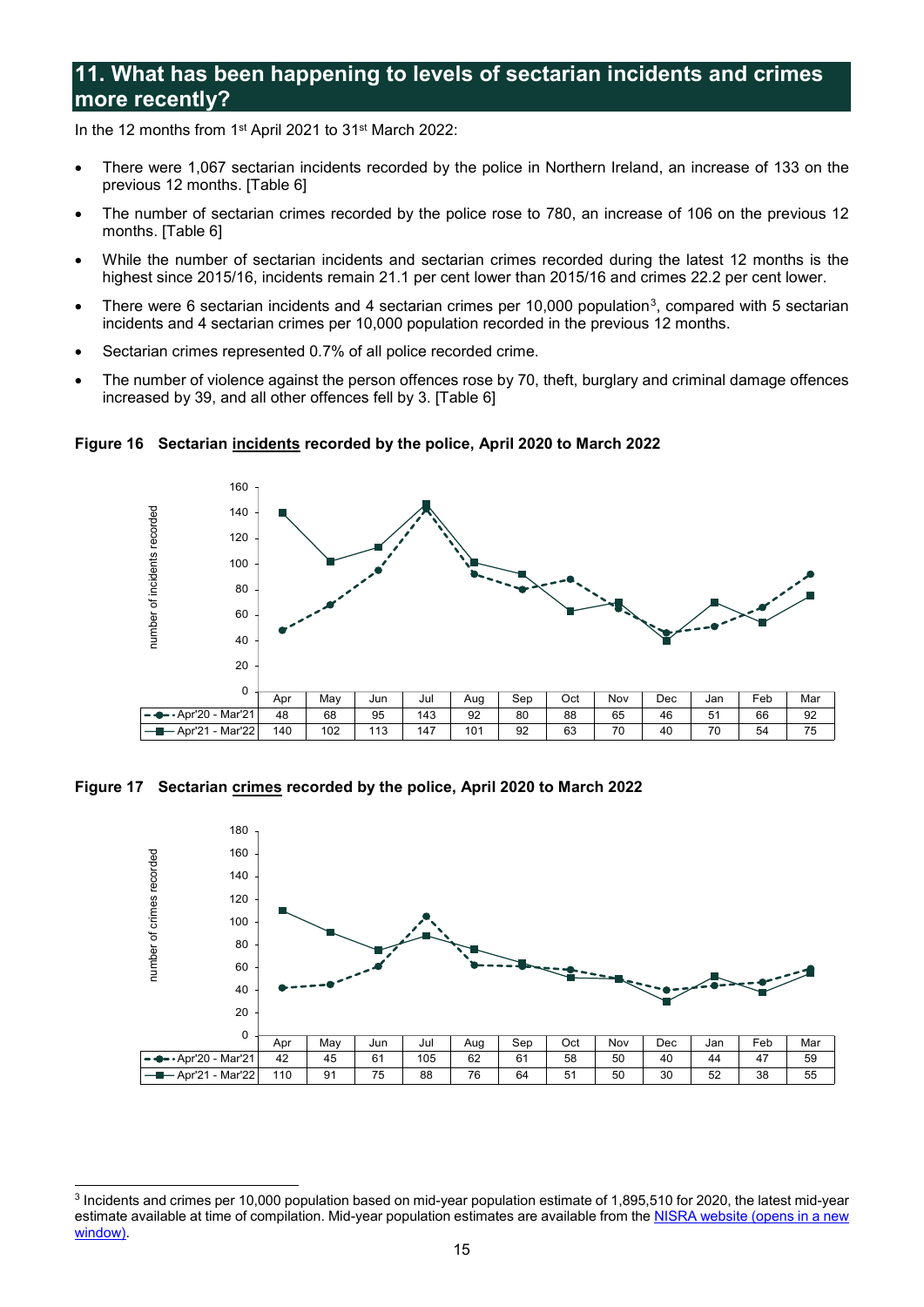# <span id="page-15-0"></span>**11. What has been happening to levels of sectarian incidents and crimes more recently?**

In the 12 months from 1<sup>st</sup> April 2021 to 31<sup>st</sup> March 2022:

- There were 1,067 sectarian incidents recorded by the police in Northern Ireland, an increase of 133 on the previous 12 months. [Table 6]
- The number of sectarian crimes recorded by the police rose to 780, an increase of 106 on the previous 12 months. [Table 6]
- While the number of sectarian incidents and sectarian crimes recorded during the latest 12 months is the highest since 2015/16, incidents remain 21.1 per cent lower than 2015/16 and crimes 22.2 per cent lower.
- There were 6 sectarian incidents and 4 sectarian crimes per 10,000 population<sup>[3](#page-15-1)</sup>, compared with 5 sectarian incidents and 4 sectarian crimes per 10,000 population recorded in the previous 12 months.
- Sectarian crimes represented 0.7% of all police recorded crime.
- The number of violence against the person offences rose by 70, theft, burglary and criminal damage offences increased by 39, and all other offences fell by 3. [Table 6]

**Figure 16 Sectarian incidents recorded by the police, April 2020 to March 2022**



**Figure 17 Sectarian crimes recorded by the police, April 2020 to March 2022**



<span id="page-15-1"></span><sup>-</sup><sup>3</sup> Incidents and crimes per 10,000 population based on mid-year population estimate of 1,895,510 for 2020, the latest mid-year estimate available at time of compilation. Mid-year population estimates are available from th[e NISRA website \(opens in a new](https://www.nisra.gov.uk/statistics/population/mid-year-population-estimates)  [window\).](https://www.nisra.gov.uk/statistics/population/mid-year-population-estimates)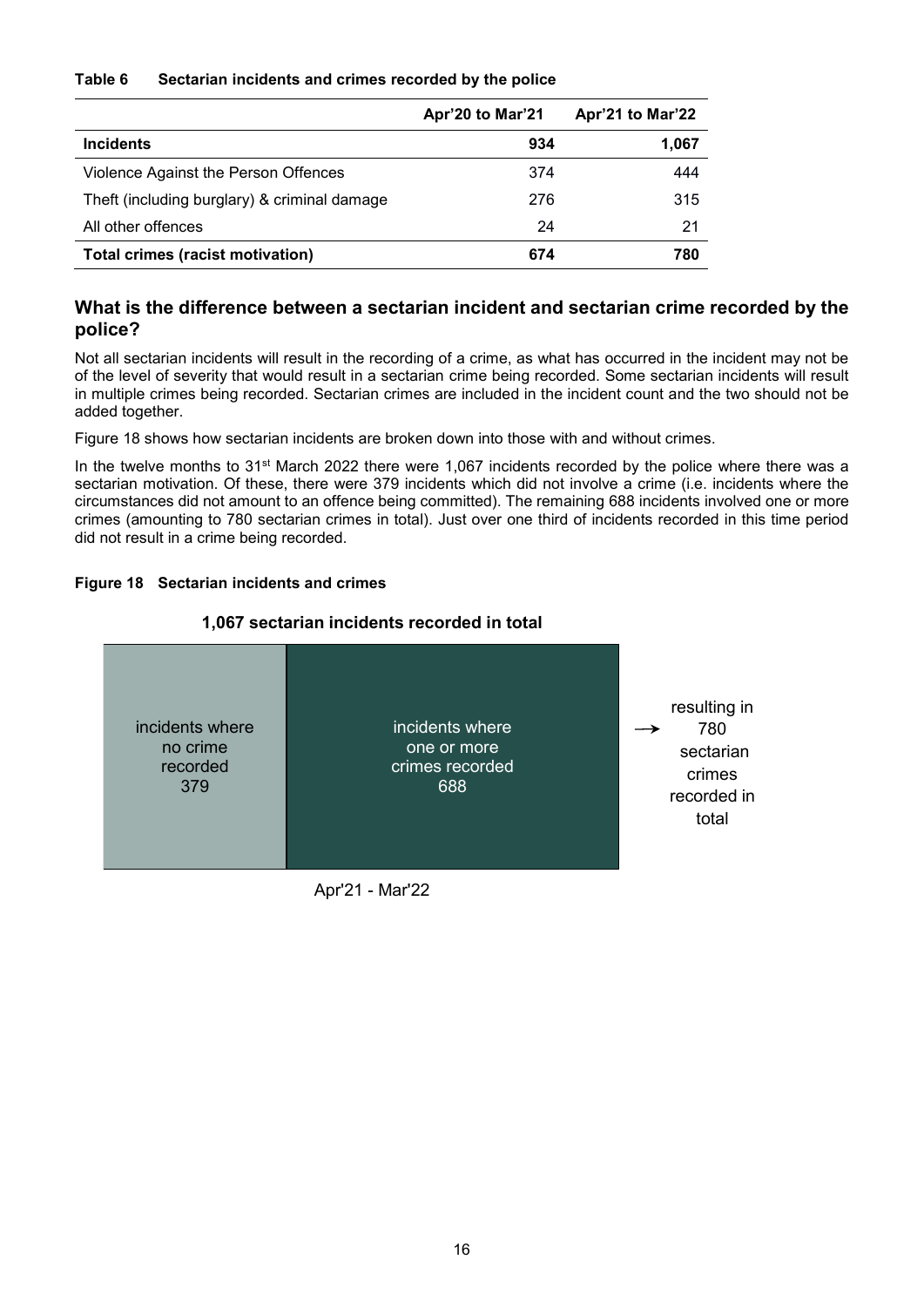#### **Table 6 Sectarian incidents and crimes recorded by the police**

|                                              | Apr'20 to Mar'21 | Apr'21 to Mar'22 |
|----------------------------------------------|------------------|------------------|
| <b>Incidents</b>                             | 934              | 1,067            |
| Violence Against the Person Offences         | 374              | 444              |
| Theft (including burglary) & criminal damage | 276              | 315              |
| All other offences                           | 24               | 21               |
| <b>Total crimes (racist motivation)</b>      | 674              | 780              |

# **What is the difference between a sectarian incident and sectarian crime recorded by the police?**

Not all sectarian incidents will result in the recording of a crime, as what has occurred in the incident may not be of the level of severity that would result in a sectarian crime being recorded. Some sectarian incidents will result in multiple crimes being recorded. Sectarian crimes are included in the incident count and the two should not be added together.

Figure 18 shows how sectarian incidents are broken down into those with and without crimes.

In the twelve months to  $31^{st}$  March 2022 there were 1,067 incidents recorded by the police where there was a sectarian motivation. Of these, there were 379 incidents which did not involve a crime (i.e. incidents where the circumstances did not amount to an offence being committed). The remaining 688 incidents involved one or more crimes (amounting to 780 sectarian crimes in total). Just over one third of incidents recorded in this time period did not result in a crime being recorded.

## **Figure 18 Sectarian incidents and crimes**

## **1,067 sectarian incidents recorded in total**



Apr'21 - Mar'22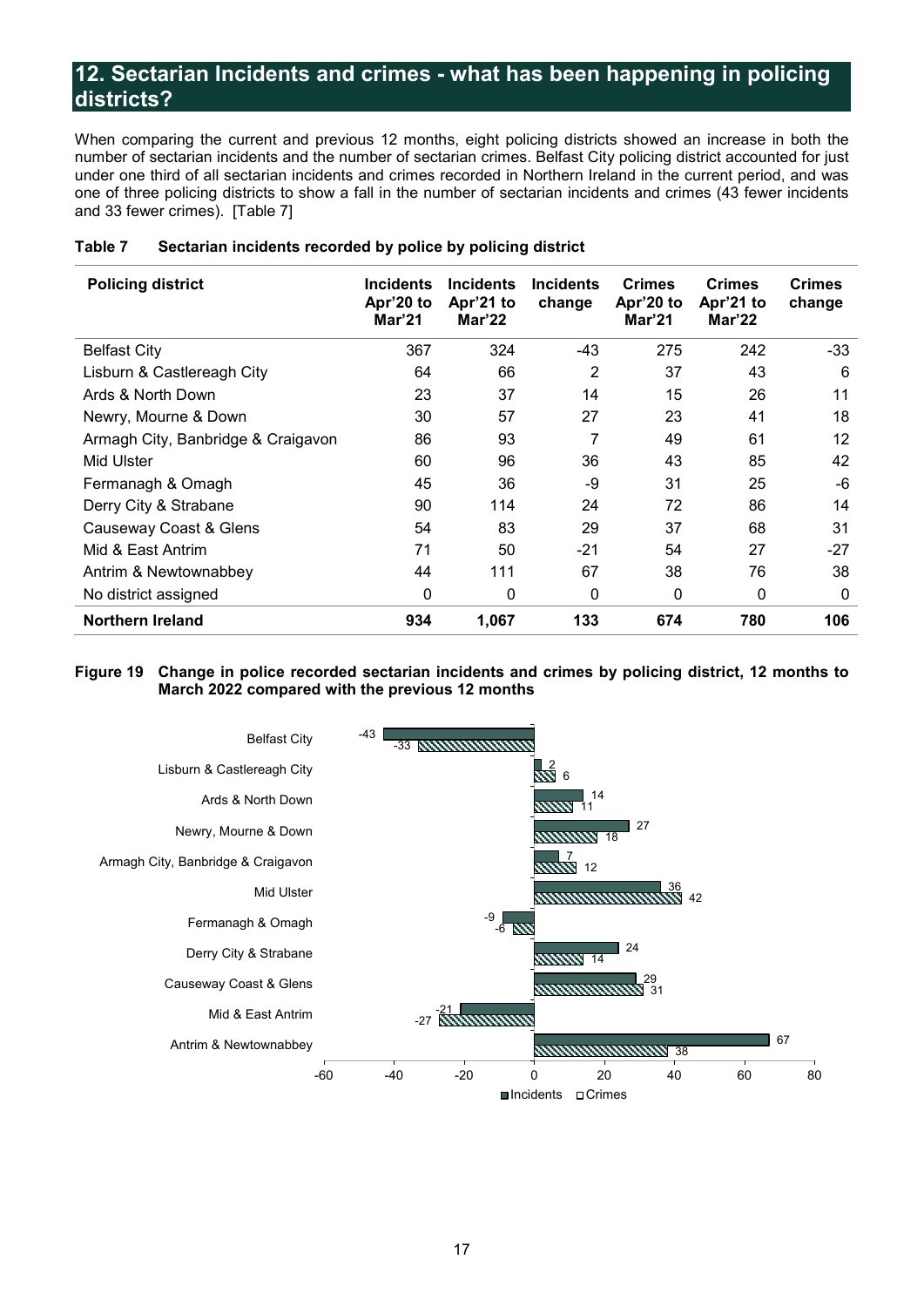# <span id="page-17-0"></span>**12. Sectarian Incidents and crimes - what has been happening in policing districts?**

When comparing the current and previous 12 months, eight policing districts showed an increase in both the number of sectarian incidents and the number of sectarian crimes. Belfast City policing district accounted for just under one third of all sectarian incidents and crimes recorded in Northern Ireland in the current period, and was one of three policing districts to show a fall in the number of sectarian incidents and crimes (43 fewer incidents and 33 fewer crimes). [Table 7]

| <b>Policing district</b>           | <b>Incidents</b><br>Apr'20 to<br>Mar'21 | <b>Incidents</b><br>Apr'21 to<br>Mar'22 | <b>Incidents</b><br>change | <b>Crimes</b><br>Apr'20 to<br>Mar'21 | <b>Crimes</b><br>Apr'21 to<br>Mar'22 | <b>Crimes</b><br>change |
|------------------------------------|-----------------------------------------|-----------------------------------------|----------------------------|--------------------------------------|--------------------------------------|-------------------------|
| <b>Belfast City</b>                | 367                                     | 324                                     | $-43$                      | 275                                  | 242                                  | $-33$                   |
| Lisburn & Castlereagh City         | 64                                      | 66                                      | 2                          | 37                                   | 43                                   | 6                       |
| Ards & North Down                  | 23                                      | 37                                      | 14                         | 15                                   | 26                                   | 11                      |
| Newry, Mourne & Down               | 30                                      | 57                                      | 27                         | 23                                   | 41                                   | 18                      |
| Armagh City, Banbridge & Craigavon | 86                                      | 93                                      | 7                          | 49                                   | 61                                   | $12 \overline{ }$       |
| Mid Ulster                         | 60                                      | 96                                      | 36                         | 43                                   | 85                                   | 42                      |
| Fermanagh & Omagh                  | 45                                      | 36                                      | -9                         | 31                                   | 25                                   | -6                      |
| Derry City & Strabane              | 90                                      | 114                                     | 24                         | 72                                   | 86                                   | 14                      |
| Causeway Coast & Glens             | 54                                      | 83                                      | 29                         | 37                                   | 68                                   | 31                      |
| Mid & East Antrim                  | 71                                      | 50                                      | -21                        | 54                                   | 27                                   | $-27$                   |
| Antrim & Newtownabbey              | 44                                      | 111                                     | 67                         | 38                                   | 76                                   | 38                      |
| No district assigned               | 0                                       | 0                                       | 0                          | 0                                    | 0                                    | 0                       |
| Northern Ireland                   | 934                                     | 1,067                                   | 133                        | 674                                  | 780                                  | 106                     |

#### **Table 7 Sectarian incidents recorded by police by policing district**

#### **Figure 19 Change in police recorded sectarian incidents and crimes by policing district, 12 months to March 2022 compared with the previous 12 months**

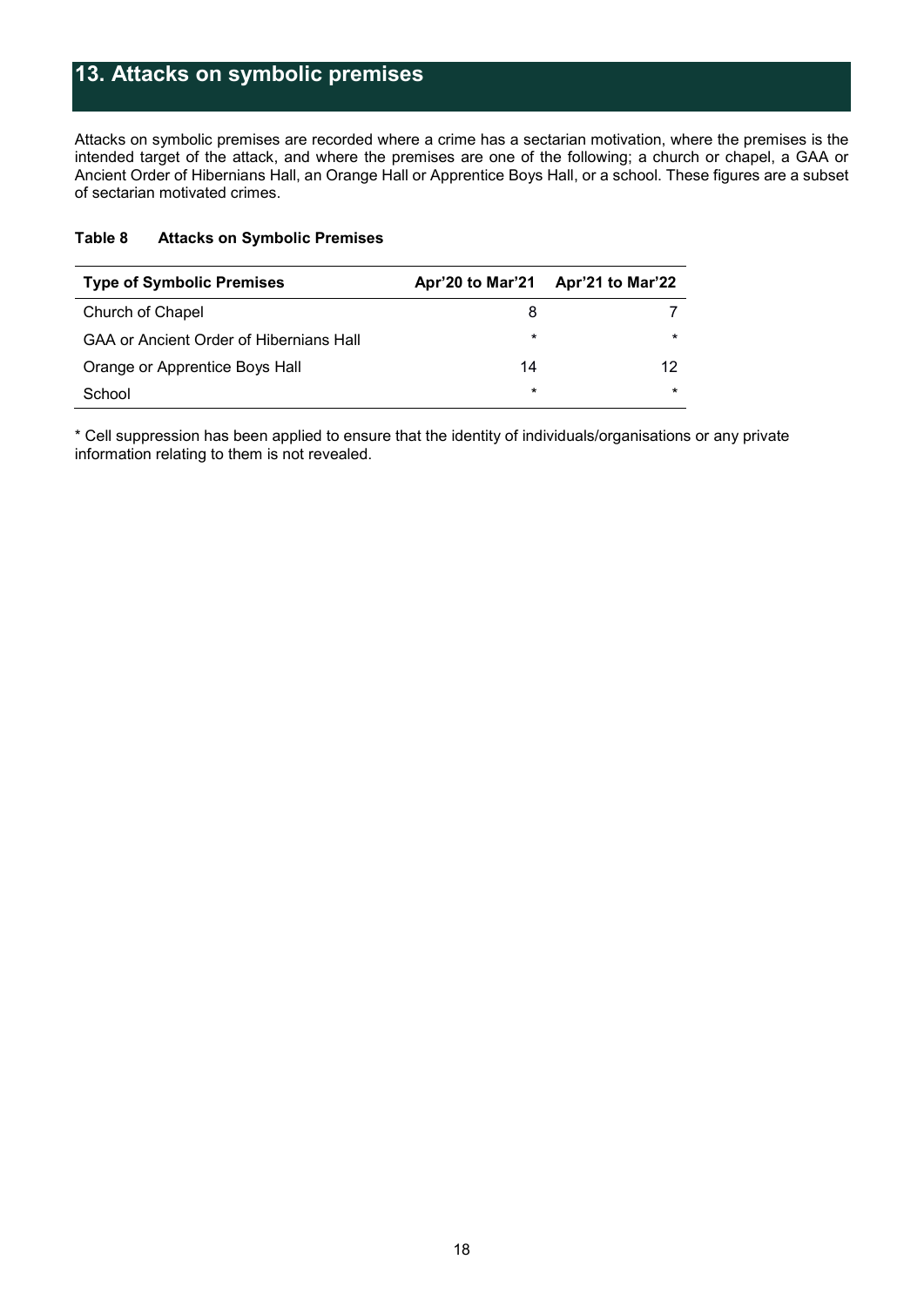# <span id="page-18-0"></span>**13. Attacks on symbolic premises**

Attacks on symbolic premises are recorded where a crime has a sectarian motivation, where the premises is the intended target of the attack, and where the premises are one of the following; a church or chapel, a GAA or Ancient Order of Hibernians Hall, an Orange Hall or Apprentice Boys Hall, or a school. These figures are a subset of sectarian motivated crimes.

| <b>Type of Symbolic Premises</b>               | Apr'20 to Mar'21 | Apr'21 to Mar'22 |
|------------------------------------------------|------------------|------------------|
| Church of Chapel                               | 8                |                  |
| <b>GAA or Ancient Order of Hibernians Hall</b> | $^\star$         | $\star$          |
| Orange or Apprentice Boys Hall                 | 14               | 12               |
| School                                         | $^\star$         | *                |

\* Cell suppression has been applied to ensure that the identity of individuals/organisations or any private information relating to them is not revealed.